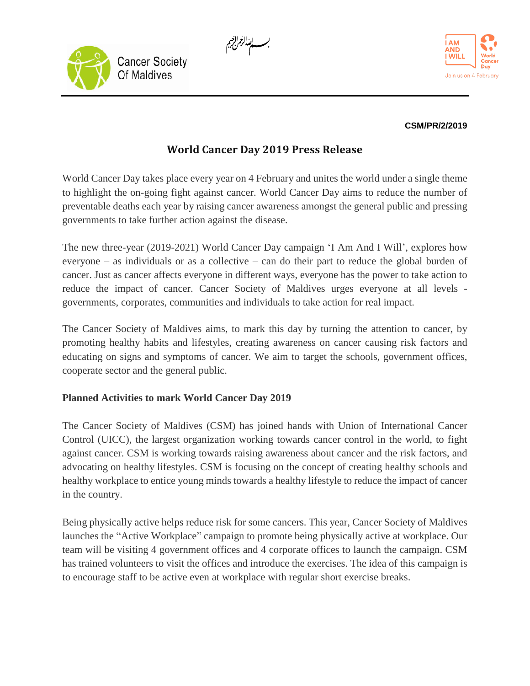





## **CSM/PR/2/2019**

## **World Cancer Day 2019 Press Release**

World Cancer Day takes place every year on 4 February and unites the world under a single theme to highlight the on-going fight against cancer. World Cancer Day aims to reduce the number of preventable deaths each year by raising cancer awareness amongst the general public and pressing governments to take further action against the disease.

The new three-year (2019-2021) World Cancer Day campaign 'I Am And I Will', explores how everyone – as individuals or as a collective – can do their part to reduce the global burden of cancer. Just as cancer affects everyone in different ways, everyone has the power to take action to reduce the impact of cancer. Cancer Society of Maldives urges everyone at all levels governments, corporates, communities and individuals to take action for real impact.

The Cancer Society of Maldives aims, to mark this day by turning the attention to cancer, by promoting healthy habits and lifestyles, creating awareness on cancer causing risk factors and educating on signs and symptoms of cancer. We aim to target the schools, government offices, cooperate sector and the general public.

## **Planned Activities to mark World Cancer Day 2019**

The Cancer Society of Maldives (CSM) has joined hands with Union of International Cancer Control (UICC), the largest organization working towards cancer control in the world, to fight against cancer. CSM is working towards raising awareness about cancer and the risk factors, and advocating on healthy lifestyles. CSM is focusing on the concept of creating healthy schools and healthy workplace to entice young minds towards a healthy lifestyle to reduce the impact of cancer in the country.

Being physically active helps reduce risk for some cancers. This year, Cancer Society of Maldives launches the "Active Workplace" campaign to promote being physically active at workplace. Our team will be visiting 4 government offices and 4 corporate offices to launch the campaign. CSM has trained volunteers to visit the offices and introduce the exercises. The idea of this campaign is to encourage staff to be active even at workplace with regular short exercise breaks.